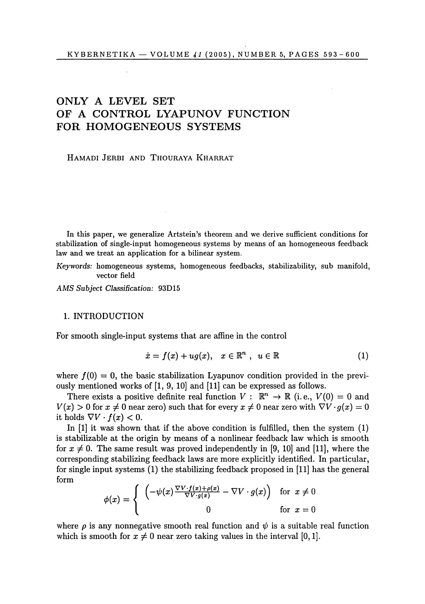# ONLY A LEVEL SET OF A CONTROL LYAPUNOV FUNCTION  $FOR$  **HOMOGENEOUS SYSTEMS**

HAMADI JERBI AND THOURAYA KHARRAT

In this paper, we generalize Artstein's theorem and we derive sufficient conditions for stabilization of single-input homogeneous systems by means of an homogeneous feedback law and we treat an application for a bilinear system.

*Keywords:* homogeneous systems, homogeneous feedbacks, stabilizability, sub manifold, vector field

*AMS Subject Classification:* 93D15

#### 1. INTRODUCTION

For smooth single-input systems that are affine in the control

$$
\dot{x} = f(x) + ug(x), \quad x \in \mathbb{R}^n, \quad u \in \mathbb{R}
$$
 (1)

where  $f(0) = 0$ , the basic stabilization Lyapunov condition provided in the previously mentioned works of [1, 9, 10] and [11] can be expressed as follows.

There exists a positive definite real function  $V : \mathbb{R}^n \to \mathbb{R}$  (i.e.,  $V(0) = 0$  and  $V(x) > 0$  for  $x \neq 0$  near zero) such that for every  $x \neq 0$  near zero with  $\nabla V \cdot g(x) = 0$ it holds  $\nabla V \cdot f(x) < 0$ .

In [1] it was shown that if the above condition is fulfilled, then the system (1) is stabilizable at the origin by means of a nonlinear feedback law which is smooth for  $x \neq 0$ . The same result was proved independently in [9, 10] and [11], where the corresponding stabilizing feedback laws are more explicitly identified. In particular, for single input systems (1) the stabilizing feedback proposed in [11] has the general form

$$
\phi(x) = \begin{cases}\n\left(-\psi(x)\frac{\nabla V \cdot f(x) + \rho(x)}{\nabla V \cdot g(x)} - \nabla V \cdot g(x)\right) & \text{for } x \neq 0 \\
0 & \text{for } x = 0\n\end{cases}
$$

where  $\rho$  is any nonnegative smooth real function and  $\psi$  is a suitable real function which is smooth for  $x \neq 0$  near zero taking values in the interval [0, 1].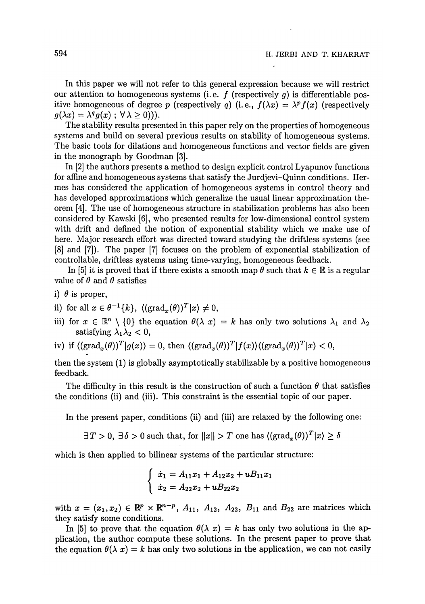In this paper we will not refer to this general expression because we will restrict our attention to homogeneous systems (i.e.  $f$  (respectively  $q$ ) is differentiable positive homogeneous of degree p (respectively q) (i.e.,  $f(\lambda x) = \lambda^p f(x)$  (respectively  $g(\lambda x) = \lambda^q g(x)$ ;  $\forall \lambda \geq 0$ )).

The stability results presented in this paper rely on the properties of homogeneous systems and build on several previous results on stability of homogeneous systems. The basic tools for dilations and homogeneous functions and vector fields are given in the monograph by Goodman [3].

In [2] the authors presents a method to design explicit control Lyapunov functions for affine and homogeneous systems that satisfy the Jurdjevi-Quinn conditions. Hermes has considered the application of homogeneous systems in control theory and has developed approximations which generalize the usual linear approximation theorem [4]. The use of homogeneous structure in stabilization problems has also been considered by Kawski [6], who presented results for low-dimensional control system with drift and defined the notion of exponential stability which we make use of here. Major research effort was directed toward studying the driftless systems (see [8] and [7]). The paper [7] focuses on the problem of exponential stabilization of controllable, driftless systems using time-varying, homogeneous feedback.

In [5] it is proved that if there exists a smooth map  $\theta$  such that  $k \in \mathbb{R}$  is a regular value of  $\theta$  and  $\theta$  satisfies

- i)  $\theta$  is proper,
- ii) for all  $x \in \theta^{-1}{k}$ ,  $\langle (\text{grad}_x(\theta))^T | x \rangle \neq 0$ ,
- iii) for  $x \in \mathbb{R}^n \setminus \{0\}$  the equation  $\theta(\lambda x) = k$  has only two solutions  $\lambda_1$  and  $\lambda_2$ satisfying  $\lambda_1 \lambda_2 < 0$ ,
- iv) if  $\langle (\text{grad}_x(\theta))^T | g(x) \rangle = 0$ , then  $\langle (\text{grad}_x(\theta))^T | f(x) \rangle \langle (\text{grad}_x(\theta))^T | x \rangle < 0$ ,

then the system (1) is globally asymptotically stabilizable by a positive homogeneous feedback.

The difficulty in this result is the construction of such a function  $\theta$  that satisfies the conditions (ii) and (iii). This constraint is the essential topic of our paper.

In the present paper, conditions (ii) and (iii) are relaxed by the following one:

 $\exists T>0, \; \exists \, \delta>0 \; \text{such that, for} \; \|x\| > T \; \text{one has} \; ((\text{grad}_x(\theta))^T | x \rangle \geq \delta \; \text{and} \; \text{and} \; \text{and} \; \text{one that} \; \text{and} \; \text{one that} \; \text{and} \; \text{one that} \; \text{and} \; \text{one that} \; \text{one that} \; \text{and} \; \text{one that} \; \text{one that} \; \text{one that} \; \text{one that} \; \text{one that} \; \text{one that} \; \text{one that} \; \text{one that} \; \$ 

which is then applied to bilinear systems of the particular structure:

$$
\begin{cases}\n\dot{x}_1 = A_{11}x_1 + A_{12}x_2 + u_1x_1 \\
\dot{x}_2 = A_{22}x_2 + u_2x_2\n\end{cases}
$$

with  $x = (x_1, x_2) \in \mathbb{R}^p \times \mathbb{R}^{n-p}$ ,  $A_{11}$ ,  $A_{12}$ ,  $A_{22}$ ,  $B_{11}$  and  $B_{22}$  are matrices which they satisfy some conditions.

In [5] to prove that the equation  $\theta(\lambda x) = k$  has only two solutions in the application, the author compute these solutions. In the present paper to prove that the equation  $\theta(\lambda x) = k$  has only two solutions in the application, we can not easily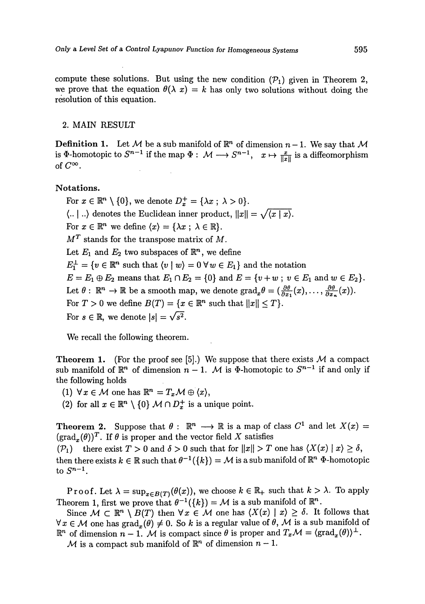compute these solutions. But using the new condition  $(\mathcal{P}_1)$  given in Theorem 2, we prove that the equation  $\theta(\lambda x) = k$  has only two solutions without doing the resolution of this equation.

## 2. MAIN RESULT

**Definition 1.** Let M be a sub manifold of  $\mathbb{R}^n$  of dimension  $n-1$ . We say that M is  $\Phi$ -homotopic to  $S^{n-1}$  if the map  $\Phi: \mathcal{M} \longrightarrow S^{n-1}$ ,  $x \mapsto \frac{x}{\|x\|}$  is a diffeomorphism of  $C^{\infty}$ .

#### **Notatio**n**s.**

For  $x \in \mathbb{R}^n \setminus \{0\}$ , we denote  $D_x^+ = \{\lambda x \, ; \, \lambda > 0\}.$  $\langle ... | ... \rangle$  denotes the Euclidean inner product,  $||x|| = \sqrt{\langle x | x \rangle}$ . For  $x \in \mathbb{R}^n$  we define  $\langle x \rangle = \{ \lambda x \, ; \, \lambda \in \mathbb{R} \}.$  $M<sup>T</sup>$  stands for the transpose matrix of  $M$ . Let  $E_1$  and  $E_2$  two subspaces of  $\mathbb{R}^n$ , we define  $E_1^{\perp} = \{v \in \mathbb{R}^n \text{ such that } \langle v \mid w \rangle = 0 \,\forall w \in E_1\}$  and the notation  $E = E_1 \oplus E_2$  means that  $E_1 \cap E_2 = \{0\}$  and  $E = \{v + w; v \in E_1 \text{ and } w \in E_2\}.$ Let  $\theta : \mathbb{R}^n \to \mathbb{R}$  be a smooth map, we denote  $\text{grad}_x \theta = (\frac{\partial \theta}{\partial x_1}(x), \ldots, \frac{\partial \theta}{\partial x_n}(x)).$ For  $T > 0$  we define  $B(T) = \{x \in \mathbb{R}^n \text{ such that } ||x|| \leq T\}.$ For  $s \in \mathbb{R}$ , we denote  $|s| = \sqrt{s^2}$ .

We recall the following theorem.

**Theorem 1.** (For the proof see [5].) We suppose that there exists  $M$  a compact sub manifold of  $\mathbb{R}^n$  of dimension  $n-1$ . M is  $\Phi$ -homotopic to  $S^{n-1}$  if and only if the following holds

(1)  $\forall x \in \mathcal{M}$  one has  $\mathbb{R}^n = T_x \mathcal{M} \oplus \langle x \rangle$ ,

(2) for all  $x \in \mathbb{R}^n \setminus \{0\}$   $M \cap D_x^+$  is a unique point.

**Theorem 2.** Suppose that  $\theta : \mathbb{R}^n \longrightarrow \mathbb{R}$  is a map of class  $C^1$  and let  $X(x) =$  $(\text{grad}_{x}(\theta))^{T}$ . If  $\theta$  is proper and the vector field X satisfies

 $(\mathcal{P}_1)$  there exist  $T > 0$  and  $\delta > 0$  such that for  $||x|| > T$  one has  $\langle X(x) | x \rangle \ge \delta$ , then there exists  $k \in \mathbb{R}$  such that  $\theta^{-1}(\{k\}) = \mathcal{M}$  is a sub manifold of  $\mathbb{R}^n$   $\Phi$ -homotopic  $f \circ S^{n-1}$ 

Proof. Let  $\lambda = \sup_{x \in B(T)} (\theta(x))$ , we choose  $k \in \mathbb{R}_+$  such that  $k > \lambda$ . To apply Theorem 1, first we prove that  $\theta^{-1}(\{k\}) = M$  is a sub manifold of  $\mathbb{R}^n$ .

Since  $\mathcal{M} \subset \mathbb{R}^n \setminus B(T)$  then  $\forall x \in \mathcal{M}$  one has  $\langle X(x) | x \rangle \geq \delta$ . It follows that  $\forall x \in \mathcal{M}$  one has  $\text{grad}_x(\theta) \neq 0$ . So *k* is a regular value of  $\theta$ , *M* is a sub manifold of  $\mathbb{R}^n$  of dimension  $n-1$ . M is compact since  $\theta$  is proper and  $T_x\mathcal{M} = \langle \text{grad}_x(\theta) \rangle^{\perp}$ .

 $M$  is a compact sub manifold of  $\mathbb{R}^n$  of dimension  $n-1$ .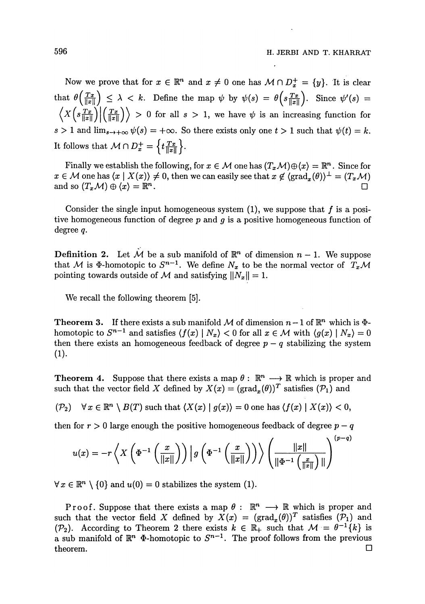Now we prove that for  $x \in \mathbb{R}^n$  and  $x \neq 0$  one has  $M \cap D_x^+ = \{y\}$ . It is clear that  $\theta\left(\frac{T x}{\|x\|}\right) \leq \lambda < k$ . Define the map  $\psi$  by  $\psi(s) = \theta\left(s\frac{T x}{\|x\|}\right)$ . Since  $\psi'(s) =$  $\langle X(s\frac{Tx}{\|x\|}) | \left(\frac{Tx}{\|x\|}\right) \rangle > 0$  for all  $s > 1$ , we have  $\psi$  is an increasing function for  $s > 1$  and  $\lim_{s \to +\infty} \psi(s) = +\infty$ . So there exists only one  $t > 1$  such that  $\psi(t) = k$ . It follows that  $M \cap D_x^+ = \left\{ t \frac{T_x}{\|x\|} \right\}.$ 

Finally we establish the following, for  $x \in M$  one has  $(T_x \mathcal{M}) \oplus \langle x \rangle = \mathbb{R}^n$ . Since for  $x \in M$  one has  $\langle x | X(x) \rangle \neq 0$ , then we can easily see that  $x \notin \langle \text{grad}_x(\theta) \rangle^{\perp} = (T_x \mathcal{M})^{\perp}$ and so  $(T_x \mathcal{M}) \oplus \langle x \rangle = \mathbb{R}^n$ . . •

Consider the single input homogeneous system  $(1)$ , we suppose that f is a positive homogeneous function of degree *p* and *g* is a positive homogeneous function of degree *q.* 

**Definition 2.** Let M be a sub manifold of  $\mathbb{R}^n$  of dimension  $n-1$ . We suppose that M is  $\Phi$ -homotopic to  $S^{n-1}$ . We define  $N_x$  to be the normal vector of  $T_x\mathcal{M}$ pointing towards outside of  $M$  and satisfying  $\|N_x\|=1$ .

We recall the following theorem [5].

**Theorem 3.** If there exists a sub manifold M of dimension  $n-1$  of  $\mathbb{R}^n$  which is  $\Phi$ homotopic to  $S^{n-1}$  and satisfies  $\langle f(x) | N_x \rangle < 0$  for all  $x \in \mathcal{M}$  with  $\langle g(x) | N_x \rangle = 0$ then there exists an homogeneous feedback of degree  $p - q$  stabilizing the system  $(1).$ 

**Theorem 4.** Suppose that there exists a map  $\theta : \mathbb{R}^n \longrightarrow \mathbb{R}$  which is proper and such that the vector field X defined by  $X(x) = (\text{grad}_x(\theta))^T$  satisfies  $(\mathcal{P}_1)$  and

 $(\mathcal{P}_2)$   $\forall x \in \mathbb{R}^n \setminus B(T)$  such that  $\langle X(x) | g(x) \rangle = 0$  one has  $\langle f(x) | X(x) \rangle < 0$ ,

then for  $r > 0$  large enough the positive homogeneous feedback of degree  $p - q$ 

$$
u(x) = -r \left\langle X \left( \Phi^{-1} \left( \frac{x}{\|x\|} \right) \right) \left| g \left( \Phi^{-1} \left( \frac{x}{\|x\|} \right) \right) \right\rangle \left( \frac{\|x\|}{\|\Phi^{-1} \left( \frac{x}{\|x\|} \right) \|} \right)^{(p-q)}
$$

 $\forall x \in \mathbb{R}^n \setminus \{0\}$  and  $u(0) = 0$  stabilizes the system (1).

Proof. Suppose that there exists a map  $\theta : \mathbb{R}^n \longrightarrow \mathbb{R}$  which is proper and such that the vector field X defined by  $X(x) = (\text{grad}_x(\theta))^T$  satisfies  $(\mathcal{P}_1)$  and ( $\mathcal{P}_2$ ). According to Theorem 2 there exists  $k \in \mathbb{R}_+$  such that  $\mathcal{M} = \theta^{-1}\{k\}$  is a sub manifold of  $\mathbb{R}^n$   $\Phi$ -homotopic to  $S^{n-1}$ . The proof follows from the previous theorem.  $\Box$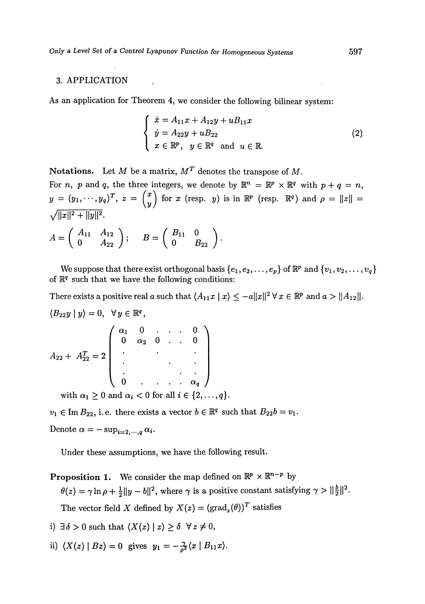### 3. APPLICATION

As an application for Theorem 4, we consider the following bilinear system:

$$
\begin{cases}\n\dot{x} = A_{11}x + A_{12}y + u_{11}x \\
\dot{y} = A_{22}y + u_{22} \\
x \in \mathbb{R}^p, \quad y \in \mathbb{R}^q \quad \text{and} \quad u \in \mathbb{R}.\n\end{cases} (2)
$$

Notations*.* Let *M* be a matrix, *M<sup>T</sup>* denotes the transpose of *M.* 

For *n*, *p* and *q*, the three integers, we denote by  $\mathbb{R}^n = \mathbb{R}^p \times \mathbb{R}^q$  with  $p + q = n$ ,  $y = (y_1, \dots, y_q)^T$ ,  $z = \begin{pmatrix} x \\ y \end{pmatrix}$  for *x* (resp. *y*) is in  $\mathbb{R}^p$  (resp.  $\mathbb{R}^q$ ) and  $\rho = ||z|| =$  $\sqrt{||x||^2+||y||^2}$ .  $\sqrt{1}$   $\sqrt{1}$ 

$$
A = \left(\begin{array}{cc} A_{11} & A_{12} \\ 0 & A_{22} \end{array}\right); \quad B = \left(\begin{array}{cc} B_{11} & 0 \\ 0 & B_{22} \end{array}\right).
$$

We suppose that there exist orthogonal basis  $\{e_1, e_2, \ldots, e_p\}$  of  $\mathbb{R}^p$  and  $\{v_1, v_2, \ldots, v_q\}$ of  $\mathbb{R}^q$  such that we have the following conditions:

There exists a positive real a such that  $\langle A_{11}x \mid x \rangle \leq -a \|x\|^2 \forall x \in \mathbb{R}^p$  and  $a > \|A_{12}\|$ .

$$
\langle B_{22}y | y \rangle = 0, \quad \forall y \in \mathbb{R}^q,
$$
  

$$
A_{22} + A_{22}^T = 2 \begin{pmatrix} \alpha_1 & 0 & \dots & \dots & 0 \\ 0 & \alpha_2 & 0 & \dots & 0 \\ \vdots & \vdots & \ddots & \vdots & \vdots \\ 0 & \dots & \dots & \alpha_q \end{pmatrix}
$$
  
with  $\alpha > 0$  and  $\alpha \leq 0$  for all  $i \leq 12$ .

with  $\alpha_1 \geq 0$  and  $\alpha_i < 0$  for all  $i \in \{2,\ldots,q\}.$ 

 $v_1 \in \text{Im } B_{22}$ , i. e. there exists a vector  $b \in \mathbb{R}^q$  such that  $B_{22}b = v_1$ .

Denote  $\alpha = -\sup_{i=2,\cdots,q} \alpha_i$ .

Under these assumptions, we have the following result.

**Proposition 1.** We consider the map defined on  $\mathbb{R}^p \times \mathbb{R}^{n-p}$  by  $\theta(z) = \gamma \ln \rho + \frac{1}{2} ||y - b||^2$ , where  $\gamma$  is a positive constant satisfying  $\gamma > ||\frac{b}{2}||^2$ The vector field X defined by  $X(z) = (\text{grad}_z(\theta))^T$  satisfies

- i)  $\exists \delta > 0$  such that  $\langle X(z) | z \rangle > \delta \ \forall z \neq 0$ ,
- ii)  $\langle X(z) | Bz \rangle = 0$  gives  $y_1 = -\frac{\gamma}{\rho^2} \langle x | B_{11} x \rangle$ .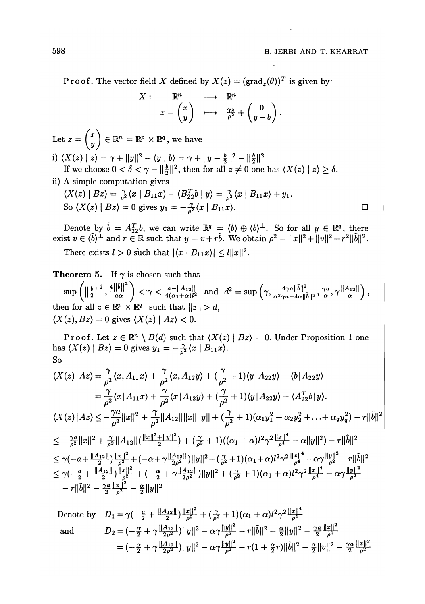Proof. The vector field X defined by  $X(z) = (\text{grad}_z(\theta))^T$  is given by

$$
\begin{array}{cccc}\n\vdots & \mathbb{R}^n & \longrightarrow & \mathbb{R}^n \\
z & \begin{pmatrix} x \\ y \end{pmatrix} & \longmapsto & \frac{\gamma z}{\rho^2} + \begin{pmatrix} 0 \\ y - b \end{pmatrix}.\n\end{array}
$$

Let  $z = \begin{pmatrix} z \\ w \end{pmatrix} \in \mathbb{R}^n = \mathbb{R}^p \times \mathbb{R}^q$ , we have

 $\overline{X}$ 

i)  $\langle X(z) | z \rangle = \gamma + ||y||^2 - \langle y | b \rangle = \gamma + ||y - \frac{b}{2}||^2 - ||\frac{b}{2}||^2$ If we choose  $0 < \delta < \gamma - ||\frac{\theta}{2}||^2$ , then for all  $z \neq 0$  one has  $\langle X(z) \mid z \rangle \geq \delta$ .

ii) A simple computation gives

$$
\langle X(z) | Bz \rangle = \frac{\gamma}{\rho^2} \langle x | B_{11} x \rangle - \langle B_{22}^T b | y \rangle = \frac{\gamma}{\rho^2} \langle x | B_{11} x \rangle + y_1.
$$
  
So 
$$
\langle X(z) | Bz \rangle = 0
$$
 gives  $y_1 = -\frac{\gamma}{\rho^2} \langle x | B_{11} x \rangle$ .

Denote by  $b = A_{22}^T b$ , we can write  $\mathbb{R}^q = \langle b \rangle \oplus \langle b \rangle^{\perp}$ . So for all  $y \in \mathbb{R}^q$ , there exist  $v \in (b)^{\perp}$  and  $r \in \mathbb{R}$  such that  $y = v + rb$ . We obtain  $\rho^2 = ||x||^2 + ||v||^2 + r^2 ||b||^2$ .

There exists  $l > 0$  such that  $|\langle x \mid B_{11} x \rangle| \leq l \|x\|^2$ .

**Theorem 5.** If  $\gamma$  is chosen such that

 $\sup\left(\|\frac{b}{b}\|^2, \frac{4\|\tilde{b}\|^2}{2}\right) < \gamma < \frac{a-\|A_{12}\|}{\gamma} \text{ and } d^2 = \sup\left(\gamma, \frac{4\gamma a\|\tilde{b}\|^2}{2}, \frac{\gamma a}{\gamma}, \gamma\|A_{12}\| \right),$  $\sum_{\alpha} \left( \frac{\|2\|}{\alpha} \right)^n a \alpha \int^{\alpha} \left( \frac{a}{\alpha} \right) \frac{4(\alpha_1 + \alpha)l^2}{\alpha^2} \arctan \left( \frac{a}{\alpha} \frac{a}{\alpha} \frac{a}{\alpha} \right) \frac{a}{l^2} \alpha' \left( \frac{a}{\alpha} \right)^n$ then for all  $z \in \mathbb{R}^p \times \mathbb{R}^q$  such that  $||z|| > d$ ,  $\langle X(z), Bz \rangle = 0$  gives  $\langle X(z) | Az \rangle < 0$ .

Proof. Let  $z \in \mathbb{R}^n \setminus B(d)$  such that  $\langle X(z) | Bz \rangle = 0$ . Under Proposition 1 one has  $\langle X(z) | Bz \rangle = 0$  gives  $y_1 = -\frac{\gamma}{\rho^2} \langle x | B_{11} x \rangle$ . So

$$
\langle X(z) | Az \rangle = \frac{\gamma}{\rho^2} \langle x, A_{11} x \rangle + \frac{\gamma}{\rho^2} \langle x, A_{12} y \rangle + (\frac{\gamma}{\rho^2} + 1) \langle y | A_{22} y \rangle - \langle b | A_{22} y \rangle
$$
  
\n
$$
= \frac{\gamma}{\rho^2} \langle x | A_{11} x \rangle + \frac{\gamma}{\rho^2} \langle x | A_{12} y \rangle + (\frac{\gamma}{\rho^2} + 1) \langle y | A_{22} y \rangle - \langle A_{22}^T b | y \rangle.
$$
  
\n
$$
\langle X(z) | Az \rangle \le -\frac{\gamma a}{\rho^2} ||x||^2 + \frac{\gamma}{\rho^2} ||A_{12}|| ||x|| ||y|| + (\frac{\gamma}{\rho^2} + 1) (\alpha_1 y_1^2 + \alpha_2 y_2^2 + \dots + \alpha_q y_q^2) - r ||\tilde{b}||^2
$$
  
\n
$$
\le -\frac{\gamma a}{\rho^2} ||x||^2 + \frac{\gamma}{\rho^2} ||A_{12}|| (\frac{||x||^2 + ||y||^2}{2}) + (\frac{\gamma}{\rho^2} + 1) ((\alpha_1 + \alpha) l^2 \gamma^2 \frac{||x||^4}{\rho^4} - \alpha ||y||^2) - r ||\tilde{b}||^2
$$
  
\n
$$
\le \gamma (-a + \frac{||A_{12}||}{2}) \frac{||x||^2}{\rho^2} + (-\alpha + \gamma \frac{||A_{12}||}{\rho^2}) ||y||^2 + (\frac{\gamma}{\rho^2} + 1) (\alpha_1 + \alpha) l^2 \gamma^2 \frac{||x||^4}{\rho^4} - \alpha \gamma \frac{||y||^2}{\rho^2} - r ||\tilde{b}||^2
$$
  
\n
$$
\le \gamma (-\frac{a}{2} + \frac{||A_{12}||}{2}) \frac{||x||^2}{\rho^2} + (-\frac{\alpha}{2} + \gamma \frac{||A_{12}||}{2\rho^2}) ||y||^2 + (\frac{\gamma}{\rho^2} + 1) (\alpha_1 + \alpha) l^2 \gamma^2 \frac{||x||^4}{\rho^4} - \alpha \gamma \frac{||y||^2}{\rho^2}
$$
  
\n
$$
- r ||\tilde
$$

Denote by 
$$
D_1 = \gamma \left(-\frac{a}{2} + \frac{\|A_{12}\|}{2}\right) \frac{\|x\|^2}{\rho^2} + \left(\frac{\gamma}{\rho^2} + 1\right) (\alpha_1 + \alpha) l^2 \gamma^2 \frac{\|x\|^4}{\rho^4}
$$
  
and  $D_2 = \left(-\frac{\alpha}{2} + \gamma \frac{\|A_{12}\|}{2\rho^2}\right) ||y||^2 - \alpha \gamma \frac{\|y\|^2}{\rho^2} - r ||\tilde{b}||^2 - \frac{\alpha}{2} ||y||^2 - \frac{\gamma a}{2} \frac{\|x\|^2}{\rho^2}$   

$$
= \left(-\frac{\alpha}{2} + \gamma \frac{\|A_{12}\|}{2\rho^2}\right) ||y||^2 - \alpha \gamma \frac{\|y\|^2}{\rho^2} - r\left(1 + \frac{\alpha}{2}r\right) ||\tilde{b}||^2 - \frac{\alpha}{2} ||v||^2 - \frac{\gamma a}{2} \frac{\|x\|^2}{\rho^2}
$$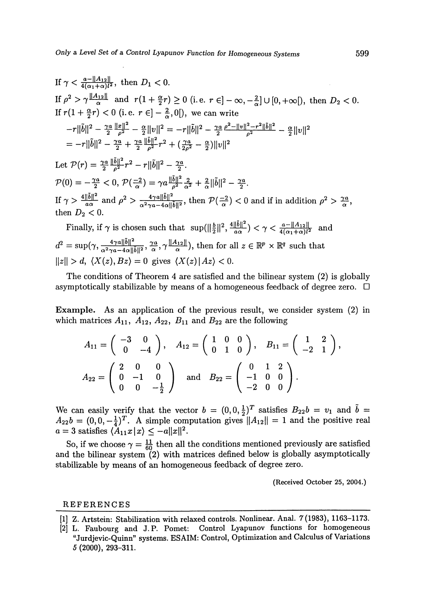If 
$$
\gamma < \frac{a-||A_{12}||}{4(\alpha_1 + \alpha)l^2}
$$
, then  $D_1 < 0$ .  
\nIf  $\rho^2 > \gamma \frac{||A_{12}||}{\alpha}$  and  $r(1 + \frac{\alpha}{2}r) \ge 0$  (i.e.  $r \in ]-\infty, -\frac{2}{\alpha}] \cup [0, +\infty[)$ , then  $D_2 < 0$ .  
\nIf  $r(1 + \frac{\alpha}{2}r) < 0$  (i.e.  $r \in ]-\frac{2}{\alpha}, 0[$ ), we can write  
\n $-r||\tilde{b}||^2 - \frac{\gamma a}{2} \frac{||x||^2}{\rho^2} - \frac{\alpha}{2} ||v||^2 = -r||\tilde{b}||^2 - \frac{\gamma a}{2} \frac{\rho^2 - ||v||^2 - r^2 ||\tilde{b}||^2}{\rho^2} - \frac{\alpha}{2} ||v||^2$   
\n $= -r||\tilde{b}||^2 - \frac{\gamma a}{2} + \frac{\gamma a}{2} \frac{||\tilde{b}||^2}{\rho^2} r^2 + (\frac{\gamma a}{2\rho^2} - \frac{\alpha}{2}) ||v||^2$ 

Let  $\mathcal{P}(r) = \frac{\gamma a}{2} \frac{\|\tilde{b}\|^2}{\rho^2} r^2 - r \|\tilde{b}\|^2 - \frac{\gamma a}{2}.$  $\mathcal{P}(0) = -\frac{\gamma a}{2} < 0, \, \mathcal{P}(\frac{-2}{\alpha}) = \gamma a \frac{\|b\|^2}{\rho^2} \frac{2}{\alpha^2} + \frac{2}{\alpha} \|\tilde{b}\|^2 - \frac{\gamma a}{2}.$ If  $\gamma > \frac{4\|\hat{b}\|^2}{a\alpha}$  and  $\rho^2 > \frac{4\gamma a \|\hat{b}\|^2}{\alpha^2 \gamma^2 \alpha - 4 \alpha \|\hat{b}\|^2}$ , then  $\mathcal{P}(\frac{-2}{\alpha}) < 0$  and if in addition  $\rho^2 > \frac{\gamma a}{\alpha}$ . then  $D_2 < 0$ .

Finally, if  $\gamma$  is chosen such that  $\sup(||\frac{b}{2}||^2, \frac{4||\tilde{b}||^2}{a\alpha}) < \gamma < \frac{a-||A_{12}||}{4(\alpha+\alpha)l^2}$  and  $d^2 = \sup(\gamma, \frac{4\gamma a\|\hat{b}\|^2}{\alpha^2 \gamma a - 4\alpha \|\hat{b}\|^2}, \frac{\gamma a}{\alpha}, \gamma \frac{\|A_{12}\|}{\alpha}),$  then for all  $z \in \mathbb{R}^p \times \mathbb{R}^q$  such that  $||z|| > d$ ,  $\langle X(z), Bz \rangle = 0$  gives  $\langle X(z)|Az \rangle < 0$ .

The conditions of Theorem 4 are satisfied and the bilinear system (2) is globally asymptotically stabilizable by means of a homogeneous feedback of degree zero.  $\Box$ 

Example. As an application of the previous result, we consider system (2) in which matrices  $A_{11}$ ,  $A_{12}$ ,  $A_{22}$ ,  $B_{11}$  and  $B_{22}$  are the following

$$
A_{11} = \begin{pmatrix} -3 & 0 \\ 0 & -4 \end{pmatrix}, \quad A_{12} = \begin{pmatrix} 1 & 0 & 0 \\ 0 & 1 & 0 \end{pmatrix}, \quad B_{11} = \begin{pmatrix} 1 & 2 \\ -2 & 1 \end{pmatrix},
$$
  

$$
A_{22} = \begin{pmatrix} 2 & 0 & 0 \\ 0 & -1 & 0 \\ 0 & 0 & -\frac{1}{2} \end{pmatrix} \text{ and } B_{22} = \begin{pmatrix} 0 & 1 & 2 \\ -1 & 0 & 0 \\ -2 & 0 & 0 \end{pmatrix}.
$$

We can easily verify that the vector  $b = (0,0,\frac{1}{2})^T$  satisfies  $B_{22}b = v_1$  and  $\tilde{b} = 0$  $A_{22}b = (0, 0, -\frac{1}{4})^T$ . A simple computation gives  $||A_{12}|| = 1$  and the positive real  $a = 3$  satisfies  $\langle A_{11}x | x \rangle \le -a ||x||^2$ .

So, if we choose  $\gamma = \frac{11}{60}$  then all the conditions mentioned previously are satisfied and the bilinear system  $(2)$  with matrices defined below is globally asymptotically stabilizable by means of an homogeneous feedback of degree zero.

(Received October 25, 2004.)

#### REFERENCES

- [1] Z. Artstein: Stabilization with relaxed controls. Nonlinear. Anal. 7(1983), 1163-1173.
- [2] L. Faubourg and J. P. Pomet: Control Lyapunov functions for homogeneous "Jurdjevic-Quinn" systems. ESAIM: Control, Optimization and Calculus of Variations 5 (2000), 293-311.